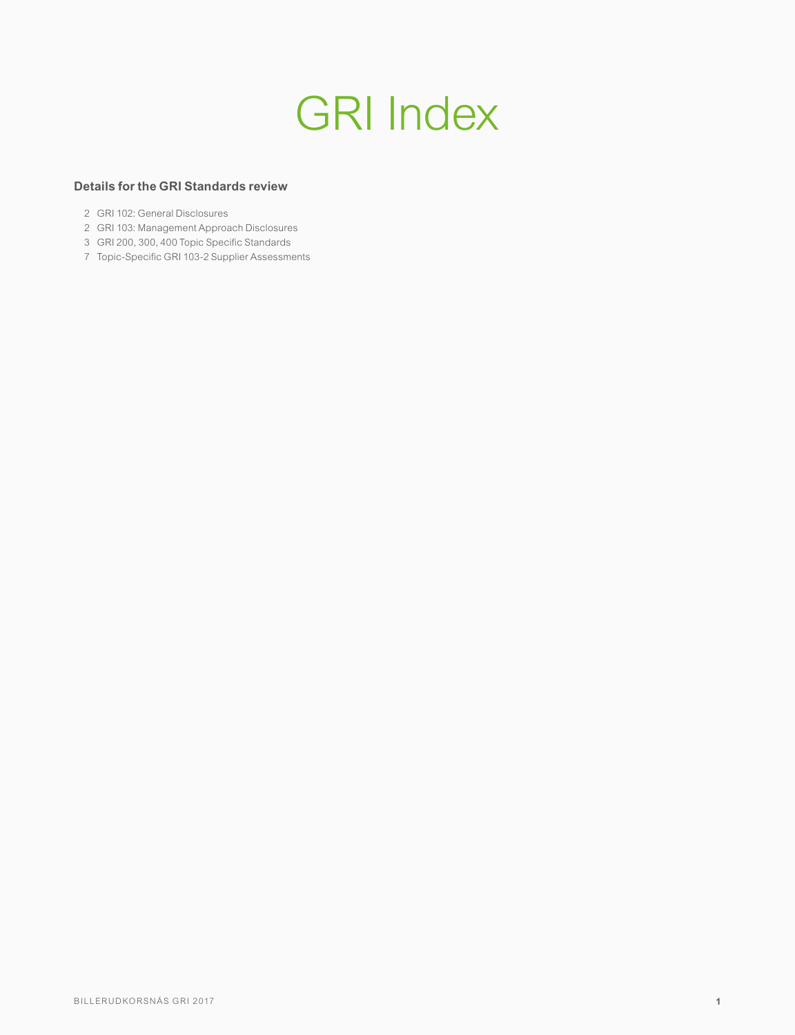# GRI Index

# **Details for the GRI Standards review**

- 2 GRI 102: General Disclosures
- 2 GRI 103: Management Approach Disclosures
- 3 GRI 200, 300, 400 Topic Specific Standards
- 7 Topic-Specific GRI 103-2 Supplier Assessments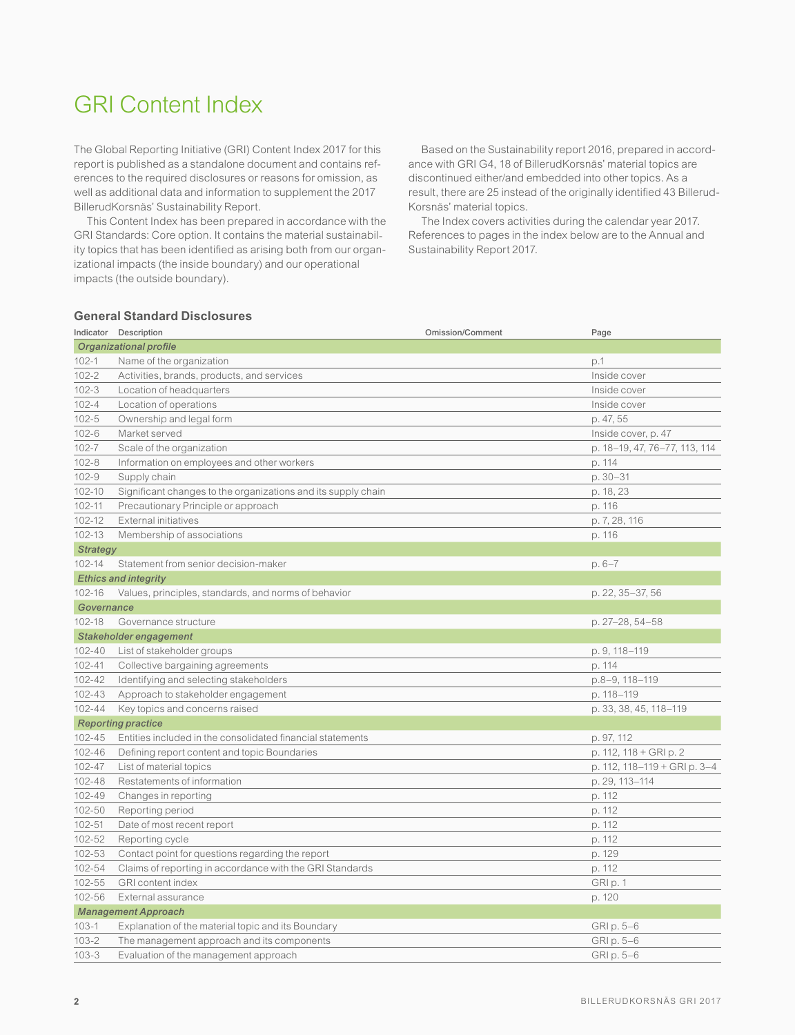# GRI Content Index

The Global Reporting Initiative (GRI) Content Index 2017 for this report is published as a standalone document and contains references to the required disclosures or reasons for omission, as well as additional data and information to supplement the 2017 BillerudKorsnäs' Sustainability Report.

This Content Index has been prepared in accordance with the GRI Standards: Core option. It contains the material sustainability topics that has been identified as arising both from our organizational impacts (the inside boundary) and our operational impacts (the outside boundary).

Based on the Sustainability report 2016, prepared in accordance with GRI G4, 18 of BillerudKorsnäs' material topics are discontinued either/and embedded into other topics. As a result, there are 25 instead of the originally identified 43 Billerud-Korsnäs' material topics.

The Index covers activities during the calendar year 2017. References to pages in the index below are to the Annual and Sustainability Report 2017.

# **General Standard Disclosures**

|                               | Indicator Description                                         | <b>Omission/Comment</b> | Page                          |  |  |
|-------------------------------|---------------------------------------------------------------|-------------------------|-------------------------------|--|--|
| <b>Organizational profile</b> |                                                               |                         |                               |  |  |
| $102 - 1$                     | Name of the organization                                      |                         | p.1                           |  |  |
| $102 - 2$                     | Activities, brands, products, and services                    |                         | Inside cover                  |  |  |
| $102 - 3$                     | Location of headquarters                                      |                         | Inside cover                  |  |  |
| $102 - 4$                     | Location of operations                                        |                         | Inside cover                  |  |  |
| $102 - 5$                     | Ownership and legal form                                      |                         | p. 47, 55                     |  |  |
| $102 - 6$                     | Market served                                                 |                         | Inside cover, p. 47           |  |  |
| $102 - 7$                     | Scale of the organization                                     |                         | p. 18-19, 47, 76-77, 113, 114 |  |  |
| $102 - 8$                     | Information on employees and other workers                    |                         | p. 114                        |  |  |
| $102 - 9$                     | Supply chain                                                  |                         | p. 30-31                      |  |  |
| 102-10                        | Significant changes to the organizations and its supply chain |                         | p. 18, 23                     |  |  |
| $102 - 11$                    | Precautionary Principle or approach                           |                         | p. 116                        |  |  |
| 102-12                        | External initiatives                                          |                         | p. 7, 28, 116                 |  |  |
| 102-13                        | Membership of associations                                    |                         | p. 116                        |  |  |
| <b>Strategy</b>               |                                                               |                         |                               |  |  |
| $102 - 14$                    | Statement from senior decision-maker                          |                         | $p.6-7$                       |  |  |
|                               | <b>Ethics and integrity</b>                                   |                         |                               |  |  |
| 102-16                        | Values, principles, standards, and norms of behavior          |                         | p. 22, 35-37, 56              |  |  |
| Governance                    |                                                               |                         |                               |  |  |
| 102-18                        | Governance structure                                          |                         | p. 27-28, 54-58               |  |  |
|                               | Stakeholder engagement                                        |                         |                               |  |  |
| 102-40                        | List of stakeholder groups                                    |                         | p. 9, 118-119                 |  |  |
| 102-41                        | Collective bargaining agreements                              |                         | p. 114                        |  |  |
| $102 - 42$                    | Identifying and selecting stakeholders                        |                         | p.8-9, 118-119                |  |  |
| 102-43                        | Approach to stakeholder engagement                            |                         | p. 118-119                    |  |  |
| 102-44                        | Key topics and concerns raised                                |                         | p. 33, 38, 45, 118-119        |  |  |
|                               | <b>Reporting practice</b>                                     |                         |                               |  |  |
| 102-45                        | Entities included in the consolidated financial statements    |                         | p. 97, 112                    |  |  |
| 102-46                        | Defining report content and topic Boundaries                  |                         | p. 112, 118 + GRI p. 2        |  |  |
| 102-47                        | List of material topics                                       |                         | p. 112, 118-119 + GRI p. 3-4  |  |  |
| 102-48                        | Restatements of information                                   |                         | p. 29, 113-114                |  |  |
| 102-49                        | Changes in reporting                                          |                         | p. 112                        |  |  |
| 102-50                        | Reporting period                                              |                         | p. 112                        |  |  |
| $102 - 51$                    | Date of most recent report                                    |                         | p. 112                        |  |  |
| 102-52                        | Reporting cycle                                               |                         | p. 112                        |  |  |
| 102-53                        | Contact point for questions regarding the report              |                         | p. 129                        |  |  |
| 102-54                        | Claims of reporting in accordance with the GRI Standards      |                         | p. 112                        |  |  |
| 102-55                        | <b>GRI</b> content index                                      |                         | GRI p. 1                      |  |  |
| 102-56                        | External assurance                                            |                         | p. 120                        |  |  |
|                               | <b>Management Approach</b>                                    |                         |                               |  |  |
| $103 - 1$                     | Explanation of the material topic and its Boundary            |                         | GRI p. 5-6                    |  |  |
| $103 - 2$                     | The management approach and its components                    |                         | GRI p. 5-6                    |  |  |
| $103 - 3$                     | Evaluation of the management approach                         |                         | GRI p. 5-6                    |  |  |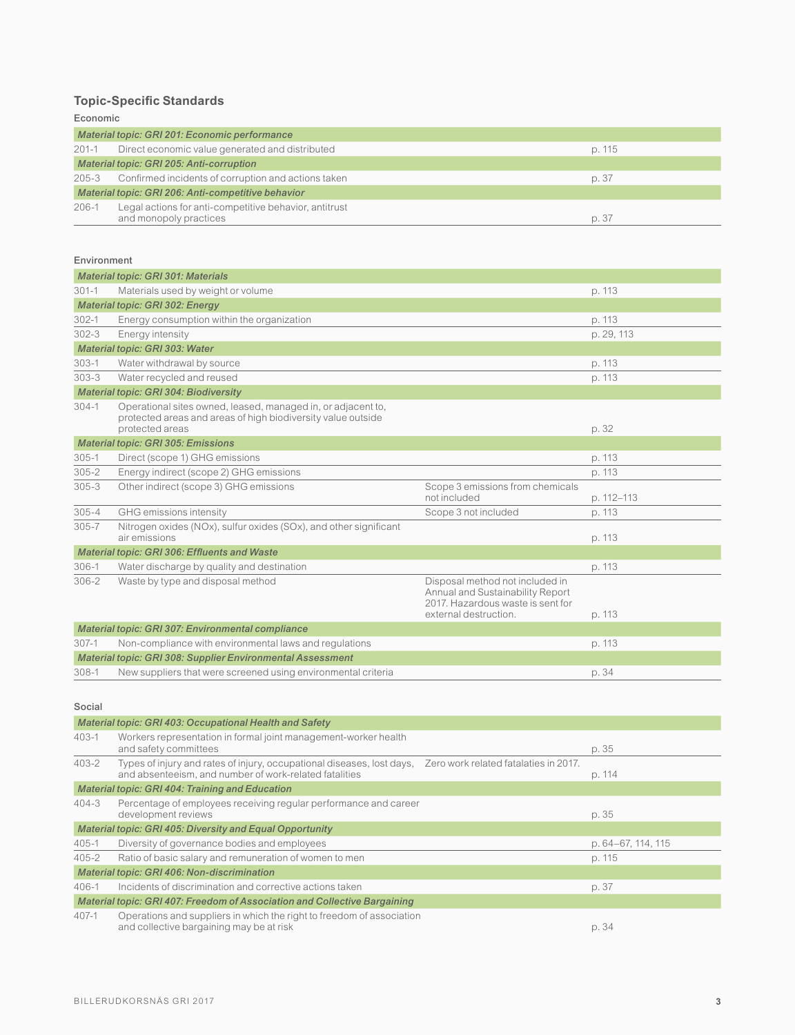# **Topic-Specific Standards**

Economic

| Material topic: GRI 201: Economic performance      |                                                                                  |        |  |  |
|----------------------------------------------------|----------------------------------------------------------------------------------|--------|--|--|
| $201 - 1$                                          | Direct economic value generated and distributed                                  | p. 115 |  |  |
| Material topic: GRI 205: Anti-corruption           |                                                                                  |        |  |  |
|                                                    | 205-3 Confirmed incidents of corruption and actions taken                        | p. 37  |  |  |
| Material topic: GRI 206: Anti-competitive behavior |                                                                                  |        |  |  |
| $206 - 1$                                          | Legal actions for anti-competitive behavior, antitrust<br>and monopoly practices | p. 37  |  |  |

# Environment

| <b>Material topic: GRI 301: Materials</b>         |                                                                                                                                                 |                                                                                                                                   |            |  |  |  |
|---------------------------------------------------|-------------------------------------------------------------------------------------------------------------------------------------------------|-----------------------------------------------------------------------------------------------------------------------------------|------------|--|--|--|
| $301 - 1$                                         | Materials used by weight or volume                                                                                                              | p. 113                                                                                                                            |            |  |  |  |
|                                                   | <b>Material topic: GRI 302: Energy</b>                                                                                                          |                                                                                                                                   |            |  |  |  |
| $302 - 1$                                         | Energy consumption within the organization                                                                                                      |                                                                                                                                   | p. 113     |  |  |  |
| $302 - 3$                                         | Energy intensity                                                                                                                                |                                                                                                                                   | p. 29, 113 |  |  |  |
|                                                   | Material topic: GRI 303: Water                                                                                                                  |                                                                                                                                   |            |  |  |  |
| $303 - 1$                                         | Water withdrawal by source                                                                                                                      |                                                                                                                                   | p. 113     |  |  |  |
| $303 - 3$                                         | Water recycled and reused                                                                                                                       |                                                                                                                                   | p. 113     |  |  |  |
|                                                   | Material topic: GRI 304: Biodiversity                                                                                                           |                                                                                                                                   |            |  |  |  |
| $304-1$                                           | Operational sites owned, leased, managed in, or adjacent to,<br>protected areas and areas of high biodiversity value outside<br>protected areas |                                                                                                                                   | p. 32      |  |  |  |
|                                                   | <b>Material topic: GRI 305: Emissions</b>                                                                                                       |                                                                                                                                   |            |  |  |  |
| $305 - 1$                                         | Direct (scope 1) GHG emissions                                                                                                                  | p. 113                                                                                                                            |            |  |  |  |
| $305 - 2$                                         | Energy indirect (scope 2) GHG emissions                                                                                                         |                                                                                                                                   | p. 113     |  |  |  |
| $305 - 3$                                         | Other indirect (scope 3) GHG emissions                                                                                                          | Scope 3 emissions from chemicals<br>not included                                                                                  | p. 112-113 |  |  |  |
| $305 - 4$                                         | GHG emissions intensity                                                                                                                         | Scope 3 not included                                                                                                              | p. 113     |  |  |  |
| $305 - 7$                                         | Nitrogen oxides (NOx), sulfur oxides (SOx), and other significant<br>air emissions                                                              |                                                                                                                                   | p. 113     |  |  |  |
|                                                   | Material topic: GRI 306: Effluents and Waste                                                                                                    |                                                                                                                                   |            |  |  |  |
| $306 - 1$                                         | Water discharge by quality and destination                                                                                                      |                                                                                                                                   | p. 113     |  |  |  |
| $306 - 2$                                         | Waste by type and disposal method                                                                                                               | Disposal method not included in<br>Annual and Sustainability Report<br>2017. Hazardous waste is sent for<br>external destruction. | p. 113     |  |  |  |
| Material topic: GRI 307: Environmental compliance |                                                                                                                                                 |                                                                                                                                   |            |  |  |  |
| $307-1$                                           | Non-compliance with environmental laws and regulations                                                                                          | p. 113                                                                                                                            |            |  |  |  |
|                                                   | Material topic: GRI 308: Supplier Environmental Assessment                                                                                      |                                                                                                                                   |            |  |  |  |
| $308 - 1$                                         | New suppliers that were screened using environmental criteria                                                                                   | p. 34                                                                                                                             |            |  |  |  |

#### Social

|           | Material topic: GRI 403: Occupational Health and Safety                                                                          |        |                    |
|-----------|----------------------------------------------------------------------------------------------------------------------------------|--------|--------------------|
| $403 - 1$ | Workers representation in formal joint management-worker health<br>and safety committees                                         |        | p. 35              |
| $403 - 2$ | Types of injury and rates of injury, occupational diseases, lost days,<br>and absenteeism, and number of work-related fatalities | p. 114 |                    |
|           | <b>Material topic: GRI 404: Training and Education</b>                                                                           |        |                    |
| $404 - 3$ | Percentage of employees receiving regular performance and career<br>development reviews                                          |        | p. 35              |
|           | <b>Material topic: GRI 405: Diversity and Equal Opportunity</b>                                                                  |        |                    |
| $405 - 1$ | Diversity of governance bodies and employees                                                                                     |        | p. 64–67, 114, 115 |
| $405 - 2$ | Ratio of basic salary and remuneration of women to men                                                                           |        | p. 115             |
|           | Material topic: GRI 406: Non-discrimination                                                                                      |        |                    |
| $406 - 1$ | Incidents of discrimination and corrective actions taken                                                                         | p. 37  |                    |
|           | Material topic: GRI 407: Freedom of Association and Collective Bargaining                                                        |        |                    |
| $407 - 1$ | Operations and suppliers in which the right to freedom of association<br>and collective bargaining may be at risk                |        | p. 34              |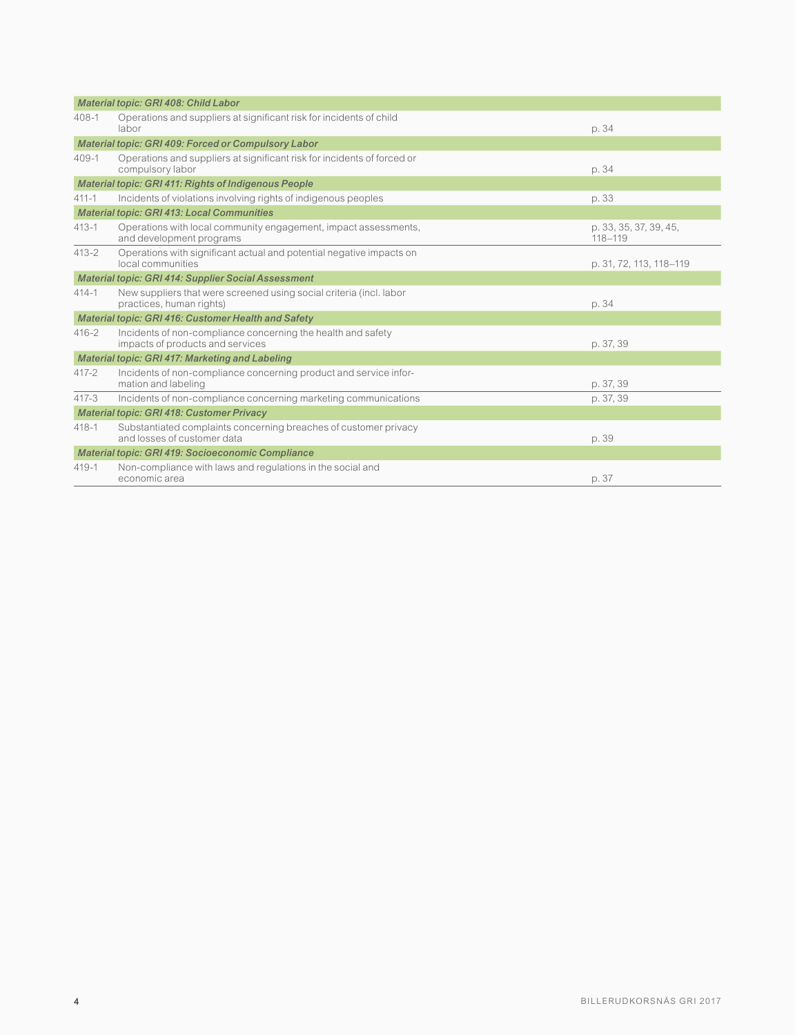|                                                            | Material topic: GRI 408: Child Labor                                                             |                                       |  |  |  |  |
|------------------------------------------------------------|--------------------------------------------------------------------------------------------------|---------------------------------------|--|--|--|--|
| $408 - 1$                                                  | Operations and suppliers at significant risk for incidents of child<br>labor                     | p. 34                                 |  |  |  |  |
|                                                            | Material topic: GRI 409: Forced or Compulsory Labor                                              |                                       |  |  |  |  |
| $409 - 1$                                                  | Operations and suppliers at significant risk for incidents of forced or<br>compulsory labor      | p. 34                                 |  |  |  |  |
|                                                            | Material topic: GRI 411: Rights of Indigenous People                                             |                                       |  |  |  |  |
| $411 - 1$                                                  | Incidents of violations involving rights of indigenous peoples                                   | p. 33                                 |  |  |  |  |
|                                                            | <b>Material topic: GRI 413: Local Communities</b>                                                |                                       |  |  |  |  |
| $413 - 1$                                                  | Operations with local community engagement, impact assessments,<br>and development programs      | p. 33, 35, 37, 39, 45,<br>$118 - 119$ |  |  |  |  |
| $413 - 2$                                                  | Operations with significant actual and potential negative impacts on<br>local communities        | p. 31, 72, 113, 118-119               |  |  |  |  |
| <b>Material topic: GRI 414: Supplier Social Assessment</b> |                                                                                                  |                                       |  |  |  |  |
| $414 - 1$                                                  | New suppliers that were screened using social criteria (incl. labor<br>practices, human rights)  | p. 34                                 |  |  |  |  |
| Material topic: GRI 416: Customer Health and Safety        |                                                                                                  |                                       |  |  |  |  |
| $416 - 2$                                                  | Incidents of non-compliance concerning the health and safety<br>impacts of products and services | p. 37, 39                             |  |  |  |  |
|                                                            | Material topic: GRI 417: Marketing and Labeling                                                  |                                       |  |  |  |  |
| $417 - 2$                                                  | Incidents of non-compliance concerning product and service infor-<br>mation and labeling         | p. 37, 39                             |  |  |  |  |
| $417 - 3$                                                  | Incidents of non-compliance concerning marketing communications                                  | p. 37, 39                             |  |  |  |  |
|                                                            | <b>Material topic: GRI 418: Customer Privacy</b>                                                 |                                       |  |  |  |  |
| $418 - 1$                                                  | Substantiated complaints concerning breaches of customer privacy<br>and losses of customer data  | p. 39                                 |  |  |  |  |
| Material topic: GRI 419: Socioeconomic Compliance          |                                                                                                  |                                       |  |  |  |  |
| $419 - 1$                                                  | Non-compliance with laws and regulations in the social and<br>economic area                      | p. 37                                 |  |  |  |  |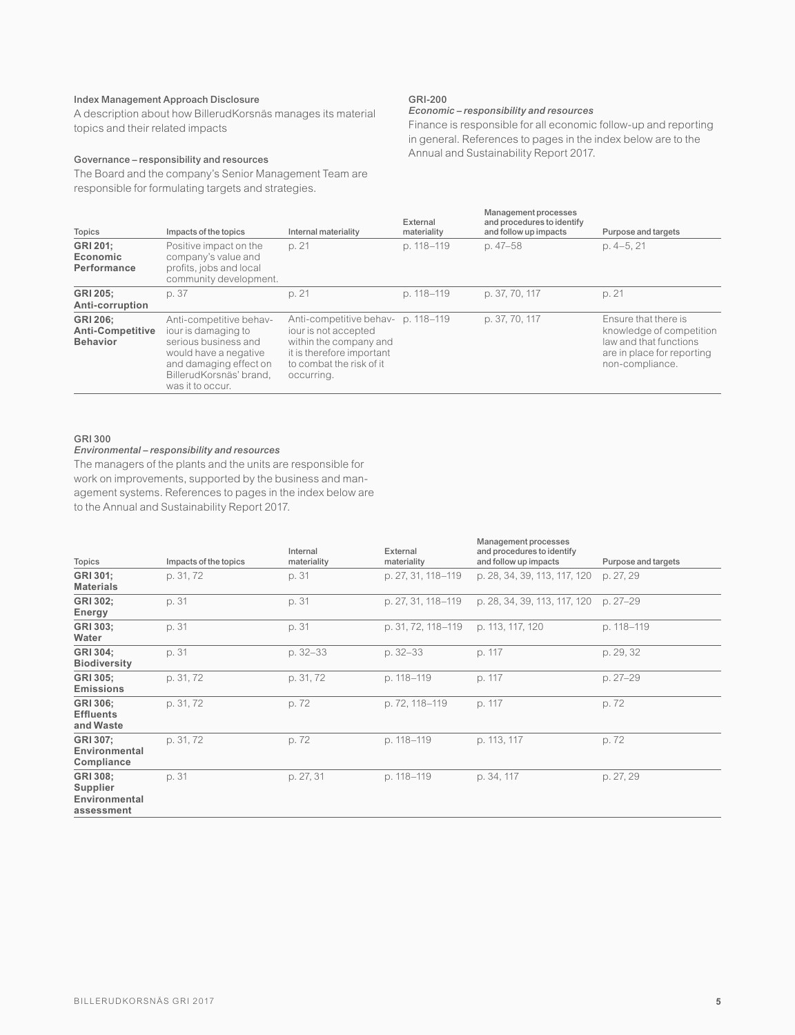# Index Management Approach Disclosure

A description about how BillerudKorsnäs manages its material topics and their related impacts

#### Governance – responsibility and resources

The Board and the company's Senior Management Team are responsible for formulating targets and strategies.

# GRI-200

#### *Economic – responsibility and resources*

Finance is responsible for all economic follow-up and reporting in general. References to pages in the index below are to the Annual and Sustainability Report 2017.

| Topics                                                                                                                                                                                                                                                                                                                                                                                                   | Impacts of the topics                                                                              | Internal materiality | External<br>materiality | Management processes<br>and procedures to identify<br>and follow up impacts                                                 | Purpose and targets |
|----------------------------------------------------------------------------------------------------------------------------------------------------------------------------------------------------------------------------------------------------------------------------------------------------------------------------------------------------------------------------------------------------------|----------------------------------------------------------------------------------------------------|----------------------|-------------------------|-----------------------------------------------------------------------------------------------------------------------------|---------------------|
| GRI 201:<br>Economic<br>Performance                                                                                                                                                                                                                                                                                                                                                                      | Positive impact on the<br>company's value and<br>profits, jobs and local<br>community development. | p. 21                | p. 118-119              | p. 47-58                                                                                                                    | $p. 4-5, 21$        |
| <b>GRI 205:</b><br>Anti-corruption                                                                                                                                                                                                                                                                                                                                                                       | p. 37                                                                                              | p. 21                | p. 118-119              | p. 37, 70, 117                                                                                                              | p. 21               |
| Anti-competitive behav- p. 118-119<br><b>GRI 206:</b><br>Anti-competitive behav-<br>iour is damaging to<br><b>Anti-Competitive</b><br>iour is not accepted<br>serious business and<br>within the company and<br><b>Behavior</b><br>it is therefore important<br>would have a negative<br>and damaging effect on<br>to combat the risk of it<br>BillerudKorsnäs' brand.<br>occurring.<br>was it to occur. |                                                                                                    |                      | p. 37, 70, 117          | Ensure that there is<br>knowledge of competition<br>law and that functions<br>are in place for reporting<br>non-compliance. |                     |

# GRI 300

#### *Environmental – responsibility and resources*

The managers of the plants and the units are responsible for work on improvements, supported by the business and management systems. References to pages in the index below are to the Annual and Sustainability Report 2017.

| Topics                                              | Impacts of the topics | Internal<br>materiality | External<br>materiality | Management processes<br>and procedures to identify<br>and follow up impacts | Purpose and targets |
|-----------------------------------------------------|-----------------------|-------------------------|-------------------------|-----------------------------------------------------------------------------|---------------------|
| GRI 301:<br><b>Materials</b>                        | p. 31, 72             | p. 31                   | p. 27, 31, 118-119      | p. 28, 34, 39, 113, 117, 120                                                | p. 27, 29           |
| GRI 302:<br>Energy                                  | p. 31                 | p. 31                   | p. 27, 31, 118-119      | p. 28, 34, 39, 113, 117, 120                                                | p. 27-29            |
| GRI 303:<br>Water                                   | p. 31                 | p. 31                   | p. 31, 72, 118–119      | p. 113, 117, 120                                                            | p. 118-119          |
| GRI 304:<br><b>Biodiversity</b>                     | p. 31                 | $p.32 - 33$             | $p.32 - 33$             | p. 117                                                                      | p. 29, 32           |
| GRI 305:<br><b>Emissions</b>                        | p. 31, 72             | p. 31, 72               | p. 118-119              | p. 117                                                                      | p. 27-29            |
| GRI 306:<br><b>Effluents</b><br>and Waste           | p. 31, 72             | p.72                    | p. 72, 118-119          | p. 117                                                                      | p.72                |
| GRI 307:<br>Environmental<br>Compliance             | p. 31, 72             | p.72                    | p. 118-119              | p. 113, 117                                                                 | p. 72               |
| GRI 308:<br>Supplier<br>Environmental<br>assessment | p. 31                 | p. 27, 31               | p. 118-119              | p. 34, 117                                                                  | p. 27, 29           |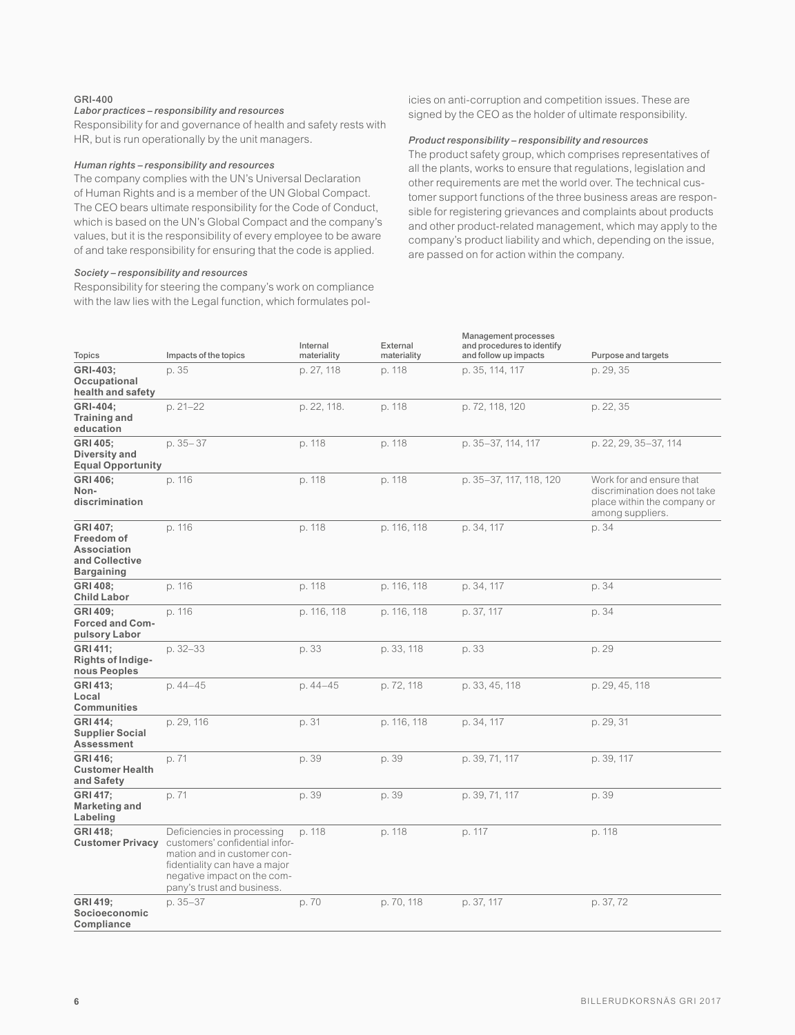#### GRI-400

# *Labor practices – responsibility and resources*

Responsibility for and governance of health and safety rests with HR, but is run operationally by the unit managers.

#### *Human rights – responsibility and resources*

The company complies with the UN's Universal Declaration of Human Rights and is a member of the UN Global Compact. The CEO bears ultimate responsibility for the Code of Conduct, which is based on the UN's Global Compact and the company's values, but it is the responsibility of every employee to be aware of and take responsibility for ensuring that the code is applied.

#### *Society – responsibility and resources*

Responsibility for steering the company's work on compliance with the law lies with the Legal function, which formulates policies on anti-corruption and competition issues. These are signed by the CEO as the holder of ultimate responsibility.

#### *Product responsibility – responsibility and resources*

The product safety group, which comprises representatives of all the plants, works to ensure that regulations, legislation and other requirements are met the world over. The technical customer support functions of the three business areas are responsible for registering grievances and complaints about products and other product-related management, which may apply to the company's product liability and which, depending on the issue, are passed on for action within the company.

| <b>Topics</b>                                                                       | Impacts of the topics                                                                                                                                                                     | Internal<br>materiality | External<br>materiality | Management processes<br>and procedures to identify<br>and follow up impacts | Purpose and targets                                                                                         |
|-------------------------------------------------------------------------------------|-------------------------------------------------------------------------------------------------------------------------------------------------------------------------------------------|-------------------------|-------------------------|-----------------------------------------------------------------------------|-------------------------------------------------------------------------------------------------------------|
| GRI-403:<br>Occupational<br>health and safety                                       | p. 35                                                                                                                                                                                     | p. 27, 118              | p. 118                  | p. 35, 114, 117                                                             | p. 29, 35                                                                                                   |
| GRI-404:<br><b>Training and</b><br>education                                        | $p. 21 - 22$                                                                                                                                                                              | p. 22, 118.             | p. 118                  | p. 72, 118, 120                                                             | p. 22, 35                                                                                                   |
| GRI 405:<br>Diversity and<br><b>Equal Opportunity</b>                               | $p.35 - 37$                                                                                                                                                                               | p. 118                  | p. 118                  | p. 35-37, 114, 117                                                          | p. 22, 29, 35-37, 114                                                                                       |
| GRI 406:<br>Non-<br>discrimination                                                  | p. 116                                                                                                                                                                                    | p. 118                  | p. 118                  | p. 35-37, 117, 118, 120                                                     | Work for and ensure that<br>discrimination does not take<br>place within the company or<br>among suppliers. |
| GRI 407;<br>Freedom of<br><b>Association</b><br>and Collective<br><b>Bargaining</b> | p. 116                                                                                                                                                                                    | p. 118                  | p. 116, 118             | p. 34, 117                                                                  | p. 34                                                                                                       |
| GRI 408:<br><b>Child Labor</b>                                                      | p. 116                                                                                                                                                                                    | p. 118                  | p. 116, 118             | p. 34, 117                                                                  | p. 34                                                                                                       |
| GRI 409:<br><b>Forced and Com-</b><br>pulsory Labor                                 | p. 116                                                                                                                                                                                    | p. 116, 118             | p. 116, 118             | p. 37, 117                                                                  | p. 34                                                                                                       |
| GRI 411:<br>Rights of Indige-<br>nous Peoples                                       | p. 32-33                                                                                                                                                                                  | p. 33                   | p. 33, 118              | p. 33                                                                       | p. 29                                                                                                       |
| GRI 413:<br>Local<br>Communities                                                    | p. 44-45                                                                                                                                                                                  | p. 44-45                | p. 72, 118              | p. 33, 45, 118                                                              | p. 29, 45, 118                                                                                              |
| GRI 414:<br><b>Supplier Social</b><br>Assessment                                    | p. 29, 116                                                                                                                                                                                | p. 31                   | p. 116, 118             | p. 34, 117                                                                  | p. 29, 31                                                                                                   |
| GRI 416:<br><b>Customer Health</b><br>and Safety                                    | p. 71                                                                                                                                                                                     | p. 39                   | p. 39                   | p. 39, 71, 117                                                              | p. 39, 117                                                                                                  |
| GRI 417;<br><b>Marketing and</b><br>Labeling                                        | p. 71                                                                                                                                                                                     | p. 39                   | p. 39                   | p. 39, 71, 117                                                              | p. 39                                                                                                       |
| <b>GRI 418:</b><br><b>Customer Privacy</b>                                          | Deficiencies in processing<br>customers' confidential infor-<br>mation and in customer con-<br>fidentiality can have a major<br>negative impact on the com-<br>pany's trust and business. | p. 118                  | p. 118                  | p. 117                                                                      | p. 118                                                                                                      |
| GRI 419:<br>Socioeconomic<br>Compliance                                             | p. 35-37                                                                                                                                                                                  | p.70                    | p. 70, 118              | p. 37, 117                                                                  | p. 37, 72                                                                                                   |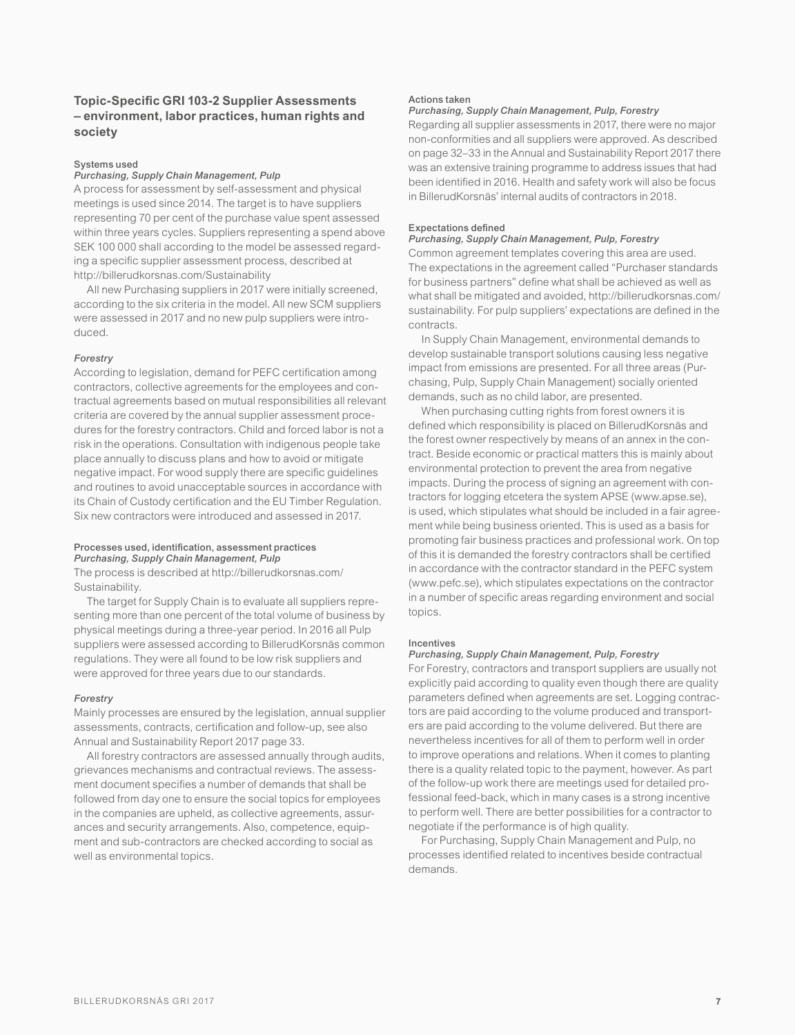# Systems used

# *Purchasing, Supply Chain Management, Pulp*

A process for assessment by self-assessment and physical meetings is used since 2014. The target is to have suppliers representing 70 per cent of the purchase value spent assessed within three years cycles. Suppliers representing a spend above SEK 100 000 shall according to the model be assessed regarding a specific supplier assessment process, described at http://billerudkorsnas.com/Sustainability

All new Purchasing suppliers in 2017 were initially screened, according to the six criteria in the model. All new SCM suppliers were assessed in 2017 and no new pulp suppliers were introduced.

#### *Forestry*

According to legislation, demand for PEFC certification among contractors, collective agreements for the employees and contractual agreements based on mutual responsibilities all relevant criteria are covered by the annual supplier assessment procedures for the forestry contractors. Child and forced labor is not a risk in the operations. Consultation with indigenous people take place annually to discuss plans and how to avoid or mitigate negative impact. For wood supply there are specific quidelines and routines to avoid unacceptable sources in accordance with its Chain of Custody certification and the EU Timber Regulation. Six new contractors were introduced and assessed in 2017.

#### Processes used, identification, assessment practices *Purchasing, Supply Chain Management, Pulp*

The process is described at http://billerudkorsnas.com/ Sustainability.

The target for Supply Chain is to evaluate all suppliers representing more than one percent of the total volume of business by physical meetings during a three-year period. In 2016 all Pulp suppliers were assessed according to BillerudKorsnäs common regulations. They were all found to be low risk suppliers and were approved for three years due to our standards.

#### *Forestry*

Mainly processes are ensured by the legislation, annual supplier assessments, contracts, certification and follow-up, see also Annual and Sustainability Report 2017 page 33.

All forestry contractors are assessed annually through audits, grievances mechanisms and contractual reviews. The assessment document specifies a number of demands that shall be followed from day one to ensure the social topics for employees in the companies are upheld, as collective agreements, assurances and security arrangements. Also, competence, equipment and sub-contractors are checked according to social as well as environmental topics.

#### Actions taken

#### *Purchasing, Supply Chain Management, Pulp, Forestry*

Regarding all supplier assessments in 2017, there were no major non-conformities and all suppliers were approved. As described on page 32–33 in the Annual and Sustainability Report 2017 there was an extensive training programme to address issues that had been identified in 2016. Health and safety work will also be focus in BillerudKorsnäs' internal audits of contractors in 2018.

#### Expectations defined

# *Purchasing, Supply Chain Management, Pulp, Forestry*

Common agreement templates covering this area are used. The expectations in the agreement called "Purchaser standards for business partners" define what shall be achieved as well as what shall be mitigated and avoided, http://billerudkorsnas.com/ sustainability. For pulp suppliers' expectations are defined in the contracts.

In Supply Chain Management, environmental demands to develop sustainable transport solutions causing less negative impact from emissions are presented. For all three areas (Purchasing, Pulp, Supply Chain Management) socially oriented demands, such as no child labor, are presented.

When purchasing cutting rights from forest owners it is defined which responsibility is placed on BillerudKorsnäs and the forest owner respectively by means of an annex in the contract. Beside economic or practical matters this is mainly about environmental protection to prevent the area from negative impacts. During the process of signing an agreement with contractors for logging etcetera the system APSE (www.apse.se), is used, which stipulates what should be included in a fair agreement while being business oriented. This is used as a basis for promoting fair business practices and professional work. On top of this it is demanded the forestry contractors shall be certified in accordance with the contractor standard in the PEFC system (www.pefc.se), which stipulates expectations on the contractor in a number of specific areas regarding environment and social topics.

#### Incentives

#### *Purchasing, Supply Chain Management, Pulp, Forestry*

For Forestry, contractors and transport suppliers are usually not explicitly paid according to quality even though there are quality parameters defined when agreements are set. Logging contractors are paid according to the volume produced and transporters are paid according to the volume delivered. But there are nevertheless incentives for all of them to perform well in order to improve operations and relations. When it comes to planting there is a quality related topic to the payment, however. As part of the follow-up work there are meetings used for detailed professional feed-back, which in many cases is a strong incentive to perform well. There are better possibilities for a contractor to negotiate if the performance is of high quality.

For Purchasing, Supply Chain Management and Pulp, no processes identified related to incentives beside contractual demands.